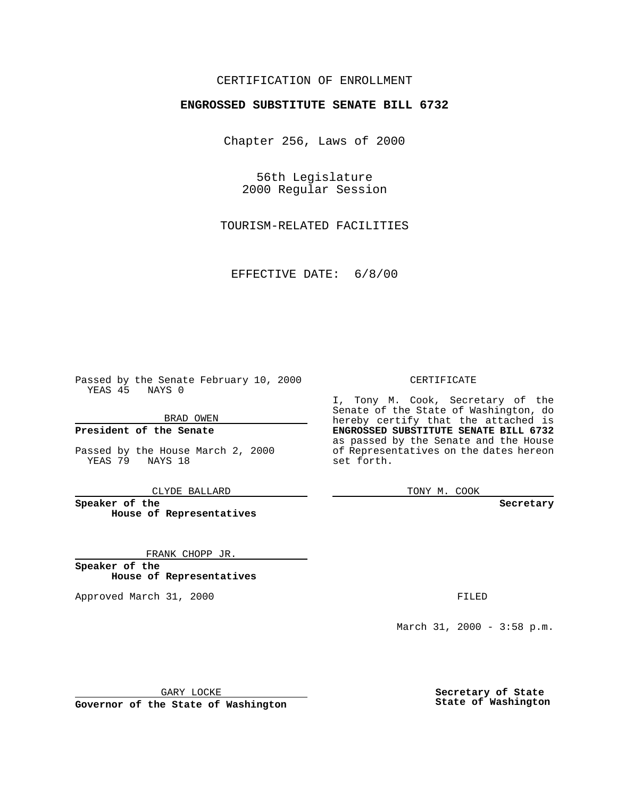### CERTIFICATION OF ENROLLMENT

# **ENGROSSED SUBSTITUTE SENATE BILL 6732**

Chapter 256, Laws of 2000

56th Legislature 2000 Regular Session

TOURISM-RELATED FACILITIES

EFFECTIVE DATE: 6/8/00

Passed by the Senate February 10, 2000 YEAS 45 NAYS 0

BRAD OWEN

**President of the Senate**

Passed by the House March 2, 2000 YEAS 79 NAYS 18

CLYDE BALLARD

**Speaker of the House of Representatives**

FRANK CHOPP JR.

**Speaker of the House of Representatives**

Approved March 31, 2000 FILED

#### CERTIFICATE

I, Tony M. Cook, Secretary of the Senate of the State of Washington, do hereby certify that the attached is **ENGROSSED SUBSTITUTE SENATE BILL 6732** as passed by the Senate and the House of Representatives on the dates hereon set forth.

TONY M. COOK

**Secretary**

March 31, 2000 - 3:58 p.m.

GARY LOCKE

**Governor of the State of Washington**

**Secretary of State State of Washington**